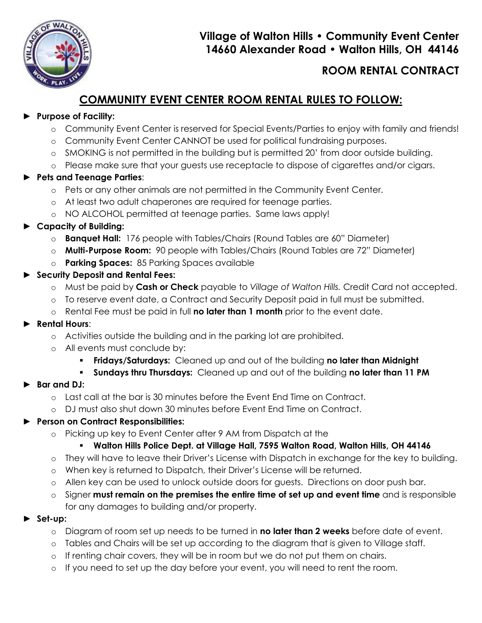

## **Village of Walton Hills • Community Event Center 14660 Alexander Road • Walton Hills, OH 44146**

# **ROOM RENTAL CONTRACT**

# **COMMUNITY EVENT CENTER ROOM RENTAL RULES TO FOLLOW:**

#### ► **Purpose of Facility:**

- o Community Event Center is reserved for Special Events/Parties to enjoy with family and friends!
- o Community Event Center CANNOT be used for political fundraising purposes.
- o SMOKING is not permitted in the building but is permitted 20' from door outside building.
- o Please make sure that your guests use receptacle to dispose of cigarettes and/or cigars.

### ► **Pets and Teenage Parties**:

- o Pets or any other animals are not permitted in the Community Event Center.
- o At least two adult chaperones are required for teenage parties.
- o NO ALCOHOL permitted at teenage parties. Same laws apply!
- ► **Capacity of Building:**
	- o **Banquet Hall:** 176 people with Tables/Chairs (Round Tables are 60" Diameter)
	- o **Multi-Purpose Room:** 90 people with Tables/Chairs (Round Tables are 72" Diameter)
	- o **Parking Spaces:** 85 Parking Spaces available
- ► **Security Deposit and Rental Fees:** 
	- o Must be paid by **Cash or Check** payable to *Village of Walton Hills.* Credit Card not accepted.
	- o To reserve event date, a Contract and Security Deposit paid in full must be submitted.
	- o Rental Fee must be paid in full **no later than 1 month** prior to the event date.

## ► **Rental Hours**:

- o Activities outside the building and in the parking lot are prohibited.
- o All events must conclude by:
	- **Fridays/Saturdays:** Cleaned up and out of the building **no later than Midnight**
	- **Sundays thru Thursdays:** Cleaned up and out of the building **no later than 11 PM**

## ► **Bar and DJ:**

- o Last call at the bar is 30 minutes before the Event End Time on Contract.
- o DJ must also shut down 30 minutes before Event End Time on Contract.

## ► **Person on Contract Responsibilities:**

o Picking up key to Event Center after 9 AM from Dispatch at the

## **Walton Hills Police Dept. at Village Hall, 7595 Walton Road, Walton Hills, OH 44146**

- o They will have to leave their Driver's License with Dispatch in exchange for the key to building.
- o When key is returned to Dispatch, their Driver's License will be returned.
- o Allen key can be used to unlock outside doors for guests. Directions on door push bar.
- o Signer **must remain on the premises the entire time of set up and event time** and is responsible for any damages to building and/or property.
- ► **Set-up:** 
	- o Diagram of room set up needs to be turned in **no later than 2 weeks** before date of event.
	- o Tables and Chairs will be set up according to the diagram that is given to Village staff.
	- o If renting chair covers, they will be in room but we do not put them on chairs.
	- If you need to set up the day before your event, you will need to rent the room.